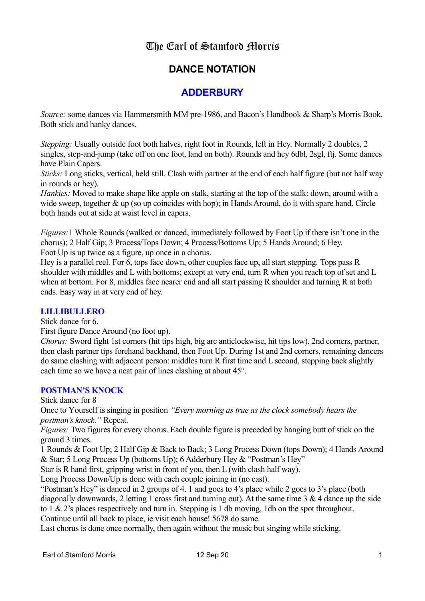# The Earl of Stamford Morris

# **DANCE NOTATION**

# **ADDERBURY**

*Source:* some dances via Hammersmith MM pre-1986, and Bacon's Handbook & Sharp's Morris Book. Both stick and hanky dances.

*Stepping:* Usually outside foot both halves, right foot in Rounds, left in Hey. Normally 2 doubles, 2 singles, step-and-jump (take off on one foot, land on both). Rounds and hey 6dbl, 2sgl, ftj. Some dances have Plain Capers.

*Sticks:* Long sticks, vertical, held still. Clash with partner at the end of each half figure (but not half way in rounds or hey).

*Hankies:* Moved to make shape like apple on stalk, starting at the top of the stalk: down, around with a wide sweep, together & up (so up coincides with hop); in Hands Around, do it with spare hand. Circle both hands out at side at waist level in capers.

*Figures:*1 Whole Rounds (walked or danced, immediately followed by Foot Up if there isn't one in the chorus); 2 Half Gip; 3 Process/Tops Down; 4 Process/Bottoms Up; 5 Hands Around; 6 Hey. Foot Up is up twice as a figure, up once in a chorus.

Hey is a parallel reel. For 6, tops face down, other couples face up, all start stepping. Tops pass R shoulder with middles and L with bottoms; except at very end, turn R when you reach top of set and L when at bottom. For 8, middles face nearer end and all start passing R shoulder and turning R at both ends. Easy way in at very end of hey.

### **LILLIBULLERO**

Stick dance for 6.

First figure Dance Around (no foot up).

*Chorus:* Sword fight 1st corners (hit tips high, big arc anticlockwise, hit tips low), 2nd corners, partner, then clash partner tips forehand backhand, then Foot Up. During 1st and 2nd corners, remaining dancers do same clashing with adjacent person: middles turn R first time and L second, stepping back slightly each time so we have a neat pair of lines clashing at about 45°.

## **POSTMAN'S KNOCK**

Stick dance for 8

Once to Yourself is singing in position *"Every morning as true as the clock somebody hears the postman's knock."* Repeat.

*Figures:* Two figures for every chorus. Each double figure is preceded by banging butt of stick on the ground 3 times.

1 Rounds & Foot Up; 2 Half Gip & Back to Back; 3 Long Process Down (tops Down); 4 Hands Around & Star; 5 Long Process Up (bottoms Up); 6 Adderbury Hey & "Postman's Hey"

Star is R hand first, gripping wrist in front of you, then L (with clash half way).

Long Process Down/Up is done with each couple joining in (no cast).

"Postman's Hey" is danced in 2 groups of 4. 1 and goes to 4's place while 2 goes to 3's place (both diagonally downwards, 2 letting 1 cross first and turning out). At the same time 3 & 4 dance up the side to 1 & 2's places respectively and turn in. Stepping is 1 db moving, 1db on the spot throughout. Continue until all back to place, ie visit each house! 5678 do same.

Last chorus is done once normally, then again without the music but singing while sticking.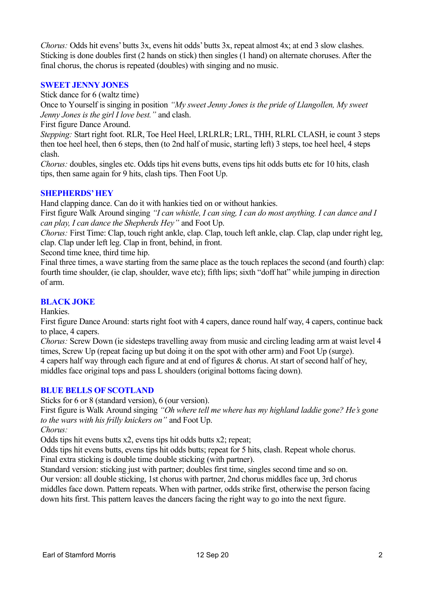*Chorus:* Odds hit evens' butts 3x, evens hit odds' butts 3x, repeat almost 4x; at end 3 slow clashes. Sticking is done doubles first (2 hands on stick) then singles (1 hand) on alternate choruses. After the final chorus, the chorus is repeated (doubles) with singing and no music.

### **SWEET JENNY JONES**

Stick dance for 6 (waltz time)

Once to Yourself is singing in position *"My sweet Jenny Jones is the pride of Llangollen, My sweet Jenny Jones is the girl I love best."* and clash.

First figure Dance Around.

*Stepping:* Start right foot. RLR, Toe Heel Heel, LRLRLR; LRL, THH, RLRL CLASH, ie count 3 steps then toe heel heel, then 6 steps, then (to 2nd half of music, starting left) 3 steps, toe heel heel, 4 steps clash.

*Chorus:* doubles, singles etc. Odds tips hit evens butts, evens tips hit odds butts etc for 10 hits, clash tips, then same again for 9 hits, clash tips. Then Foot Up.

### **SHEPHERDS' HEY**

Hand clapping dance. Can do it with hankies tied on or without hankies.

First figure Walk Around singing *"I can whistle, I can sing, I can do most anything. I can dance and I can play, I can dance the Shepherds Hey"* and Foot Up.

*Chorus:* First Time: Clap, touch right ankle, clap. Clap, touch left ankle, clap. Clap, clap under right leg, clap. Clap under left leg. Clap in front, behind, in front.

Second time knee, third time hip.

Final three times, a wave starting from the same place as the touch replaces the second (and fourth) clap: fourth time shoulder, (ie clap, shoulder, wave etc); fifth lips; sixth "doff hat" while jumping in direction of arm.

### **BLACK JOKE**

Hankies.

First figure Dance Around: starts right foot with 4 capers, dance round half way, 4 capers, continue back to place, 4 capers.

*Chorus:* Screw Down (ie sidesteps travelling away from music and circling leading arm at waist level 4 times, Screw Up (repeat facing up but doing it on the spot with other arm) and Foot Up (surge). 4 capers half way through each figure and at end of figures & chorus. At start of second half of hey, middles face original tops and pass L shoulders (original bottoms facing down).

### **BLUE BELLS OF SCOTLAND**

Sticks for 6 or 8 (standard version), 6 (our version).

First figure is Walk Around singing *"Oh where tell me where has my highland laddie gone? He's gone to the wars with his frilly knickers on"* and Foot Up.

*Chorus:*

Odds tips hit evens butts x2, evens tips hit odds butts x2; repeat;

Odds tips hit evens butts, evens tips hit odds butts; repeat for 5 hits, clash. Repeat whole chorus. Final extra sticking is double time double sticking (with partner).

Standard version: sticking just with partner; doubles first time, singles second time and so on. Our version: all double sticking, 1st chorus with partner, 2nd chorus middles face up, 3rd chorus middles face down. Pattern repeats. When with partner, odds strike first, otherwise the person facing down hits first. This pattern leaves the dancers facing the right way to go into the next figure.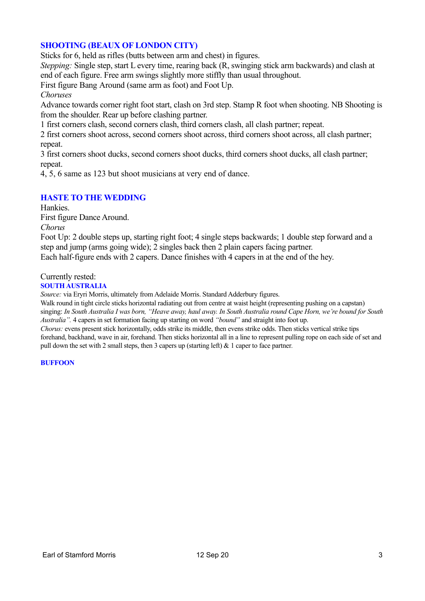### **SHOOTING (BEAUX OF LONDON CITY)**

Sticks for 6, held as rifles (butts between arm and chest) in figures.

*Stepping:* Single step, start L every time, rearing back (R, swinging stick arm backwards) and clash at end of each figure. Free arm swings slightly more stiffly than usual throughout.

First figure Bang Around (same arm as foot) and Foot Up.

*Choruses*

Advance towards corner right foot start, clash on 3rd step. Stamp R foot when shooting. NB Shooting is from the shoulder. Rear up before clashing partner.

1 first corners clash, second corners clash, third corners clash, all clash partner; repeat.

2 first corners shoot across, second corners shoot across, third corners shoot across, all clash partner; repeat.

3 first corners shoot ducks, second corners shoot ducks, third corners shoot ducks, all clash partner; repeat.

4, 5, 6 same as 123 but shoot musicians at very end of dance.

### **HASTE TO THE WEDDING**

Hankies.

First figure Dance Around.

*Chorus*

Foot Up: 2 double steps up, starting right foot; 4 single steps backwards; 1 double step forward and a step and jump (arms going wide); 2 singles back then 2 plain capers facing partner. Each half-figure ends with 2 capers. Dance finishes with 4 capers in at the end of the hey.

#### Currently rested:

#### **SOUTH AUSTRALIA**

*Source:* via Eryri Morris, ultimately from Adelaide Morris. Standard Adderbury figures.

Walk round in tight circle sticks horizontal radiating out from centre at waist height (representing pushing on a capstan) singing: *In South Australia I was born, "Heave away, haul away. In South Australia round Cape Horn, we're bound for South Australia".* 4 capers in set formation facing up starting on word *"bound"* and straight into foot up.

*Chorus:* evens present stick horizontally, odds strike its middle, then evens strike odds. Then sticks vertical strike tips forehand, backhand, wave in air, forehand. Then sticks horizontal all in a line to represent pulling rope on each side of set and pull down the set with 2 small steps, then 3 capers up (starting left) & 1 caper to face partner*.*

#### **BUFFOON**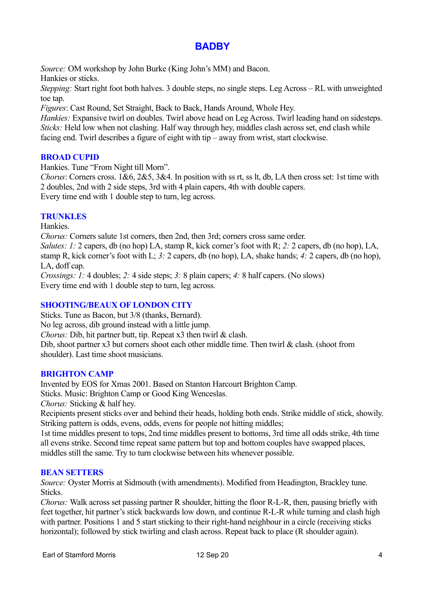# **BADBY**

*Source:* OM workshop by John Burke (King John's MM) and Bacon.

Hankies or sticks.

*Stepping:* Start right foot both halves. 3 double steps, no single steps. Leg Across – RL with unweighted toe tap.

*Figures*: Cast Round, Set Straight, Back to Back, Hands Around, Whole Hey.

*Hankies: Expansive twirl on doubles. Twirl above head on Leg Across. Twirl leading hand on sidesteps. Sticks:* Held low when not clashing. Half way through hey, middles clash across set, end clash while facing end. Twirl describes a figure of eight with tip – away from wrist, start clockwise.

# **BROAD CUPID**

Hankies. Tune "From Night till Morn".

*Chorus*: Corners cross. 1&6, 2&5, 3&4. In position with ss rt, ss lt, db, LA then cross set: 1st time with 2 doubles, 2nd with 2 side steps, 3rd with 4 plain capers, 4th with double capers. Every time end with 1 double step to turn, leg across.

## **TRUNKLES**

Hankies.

*Chorus:* Corners salute 1st corners, then 2nd, then 3rd; corners cross same order.

*Salutes: 1: 2* capers, db (no hop) LA, stamp R, kick corner's foot with R; 2: 2 capers, db (no hop), LA, stamp R, kick corner's foot with L; *3:* 2 capers, db (no hop), LA, shake hands; *4:* 2 capers, db (no hop), LA, doff cap.

*Crossings: 1:* 4 doubles; *2:* 4 side steps; *3:* 8 plain capers; *4:* 8 half capers. (No slows) Every time end with 1 double step to turn, leg across.

## **SHOOTING/BEAUX OF LONDON CITY**

Sticks. Tune as Bacon, but 3/8 (thanks, Bernard). No leg across, dib ground instead with a little jump. *Chorus:* Dib, hit partner butt, tip. Repeat x3 then twirl & clash. Dib, shoot partner x3 but corners shoot each other middle time. Then twirl & clash. (shoot from shoulder). Last time shoot musicians.

## **BRIGHTON CAMP**

Invented by EOS for Xmas 2001. Based on Stanton Harcourt Brighton Camp. Sticks. Music: Brighton Camp or Good King Wenceslas. *Chorus:* Sticking & half hey.

Recipients present sticks over and behind their heads, holding both ends. Strike middle of stick, showily. Striking pattern is odds, evens, odds, evens for people not hitting middles;

1st time middles present to tops, 2nd time middles present to bottoms, 3rd time all odds strike, 4th time all evens strike. Second time repeat same pattern but top and bottom couples have swapped places, middles still the same. Try to turn clockwise between hits whenever possible.

### **BEAN SETTERS**

*Source:* Oyster Morris at Sidmouth (with amendments). Modified from Headington, Brackley tune. Sticks.

*Chorus:* Walk across set passing partner R shoulder, hitting the floor R-L-R, then, pausing briefly with feet together, hit partner's stick backwards low down, and continue R-L-R while turning and clash high with partner. Positions 1 and 5 start sticking to their right-hand neighbour in a circle (receiving sticks horizontal); followed by stick twirling and clash across. Repeat back to place (R shoulder again).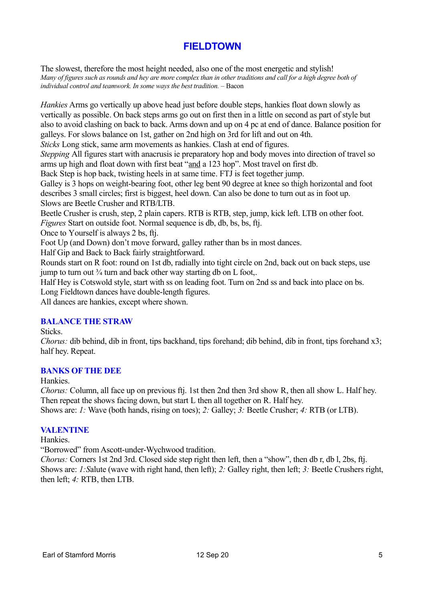# **FIELDTOWN**

The slowest, therefore the most height needed, also one of the most energetic and stylish! *Many of figures such as rounds and hey are more complex than in other traditions and call for a high degree both of individual control and teamwork. In some ways the best tradition.* – Bacon

*Hankies* Arms go vertically up above head just before double steps, hankies float down slowly as vertically as possible. On back steps arms go out on first then in a little on second as part of style but also to avoid clashing on back to back. Arms down and up on 4 pc at end of dance. Balance position for galleys. For slows balance on 1st, gather on 2nd high on 3rd for lift and out on 4th.

*Sticks* Long stick, same arm movements as hankies. Clash at end of figures.

*Stepping* All figures start with anacrusis ie preparatory hop and body moves into direction of travel so arms up high and float down with first beat "and a 123 hop". Most travel on first db.

Back Step is hop back, twisting heels in at same time. FTJ is feet together jump.

Galley is 3 hops on weight-bearing foot, other leg bent 90 degree at knee so thigh horizontal and foot describes 3 small circles; first is biggest, heel down. Can also be done to turn out as in foot up. Slows are Beetle Crusher and RTB/LTB.

Beetle Crusher is crush, step, 2 plain capers. RTB is RTB, step, jump, kick left. LTB on other foot. *Figures* Start on outside foot. Normal sequence is db, db, bs, bs, ftj.

Once to Yourself is always 2 bs, ftj.

Foot Up (and Down) don't move forward, galley rather than bs in most dances.

Half Gip and Back to Back fairly straightforward.

Rounds start on R foot: round on 1st db, radially into tight circle on 2nd, back out on back steps, use jump to turn out  $\frac{3}{4}$  turn and back other way starting db on L foot,.

Half Hey is Cotswold style, start with ss on leading foot. Turn on 2nd ss and back into place on bs. Long Fieldtown dances have double-length figures. All dances are hankies, except where shown.

### **BALANCE THE STRAW**

Sticks.

*Chorus:* dib behind, dib in front, tips backhand, tips forehand; dib behind, dib in front, tips forehand x3; half hey. Repeat.

### **BANKS OF THE DEE**

Hankies.

*Chorus:* Column, all face up on previous ftj. 1st then 2nd then 3rd show R, then all show L. Half hey. Then repeat the shows facing down, but start L then all together on R. Half hey.

Shows are: *1:* Wave (both hands, rising on toes); *2:* Galley; *3:* Beetle Crusher; *4:* RTB (or LTB).

### **VALENTINE**

Hankies.

"Borrowed" from Ascott-under-Wychwood tradition.

*Chorus:* Corners 1st 2nd 3rd. Closed side step right then left, then a "show", then db r, db l, 2bs, ftj. Shows are: *1:S*alute (wave with right hand, then left); *2:* Galley right, then left; *3:* Beetle Crushers right, then left; *4:* RTB, then LTB.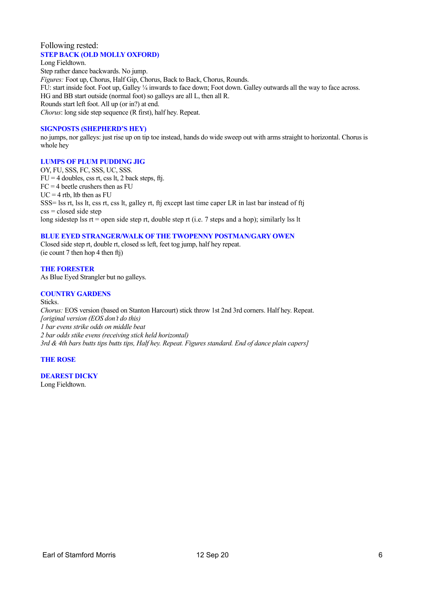#### Following rested: **STEP BACK (OLD MOLLY OXFORD)**

Long Fieldtown. Step rather dance backwards. No jump. *Figures:* Foot up, Chorus, Half Gip, Chorus, Back to Back, Chorus, Rounds. FU: start inside foot. Foot up, Galley ¼ inwards to face down; Foot down. Galley outwards all the way to face across. HG and BB start outside (normal foot) so galleys are all L, then all R. Rounds start left foot. All up (or in?) at end. *Chorus*: long side step sequence (R first), half hey. Repeat.

#### **SIGNPOSTS (SHEPHERD'S HEY)**

no jumps, nor galleys: just rise up on tip toe instead, hands do wide sweep out with arms straight to horizontal. Chorus is whole hey

#### **LUMPS OF PLUM PUDDING JIG**

OY, FU, SSS, FC, SSS, UC, SSS.  $FU = 4$  doubles, css rt, css lt, 2 back steps, ftj.  $FC = 4$  beetle crushers then as  $FU$  $UC = 4$  rtb, ltb then as FU SSS= lss rt, lss lt, css rt, css lt, galley rt, ftj except last time caper LR in last bar instead of ftj  $\csc s = \text{closed side step}$ long sidestep lss rt = open side step rt, double step rt (i.e. 7 steps and a hop); similarly lss lt

#### **BLUE EYED STRANGER/WALK OF THE TWOPENNY POSTMAN/GARY OWEN**

Closed side step rt, double rt, closed ss left, feet tog jump, half hey repeat. (ie count 7 then hop 4 then ftj)

**THE FORESTER** As Blue Eyed Strangler but no galleys.

#### **COUNTRY GARDENS**

Sticks. *Chorus:* EOS version (based on Stanton Harcourt) stick throw 1st 2nd 3rd corners. Half hey. Repeat. *[original version (EOS don't do this) 1 bar evens strike odds on middle beat 2 bar odds stike evens (receiving stick held horizontal) 3rd & 4th bars butts tips butts tips, Half hey. Repeat. Figures standard. End of dance plain capers]*

#### **THE ROSE**

#### **DEAREST DICKY**

Long Fieldtown.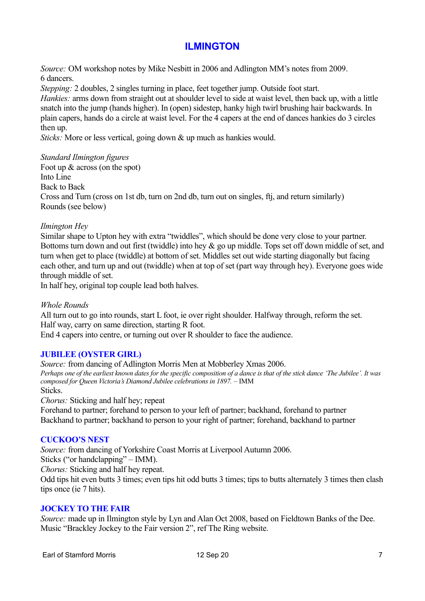# **ILMINGTON**

*Source:* OM workshop notes by Mike Nesbitt in 2006 and Adlington MM's notes from 2009. 6 dancers.

*Stepping:* 2 doubles, 2 singles turning in place, feet together jump. Outside foot start.

*Hankies:* arms down from straight out at shoulder level to side at waist level, then back up, with a little snatch into the jump (hands higher). In (open) sidestep, hanky high twirl brushing hair backwards. In plain capers, hands do a circle at waist level. For the 4 capers at the end of dances hankies do 3 circles then up.

*Sticks:* More or less vertical, going down & up much as hankies would.

### *Standard Ilmington figures*

Foot up & across (on the spot) Into Line Back to Back Cross and Turn (cross on 1st db, turn on 2nd db, turn out on singles, ftj, and return similarly) Rounds (see below)

### *Ilmington Hey*

Similar shape to Upton hey with extra "twiddles", which should be done very close to your partner. Bottoms turn down and out first (twiddle) into hey & go up middle. Tops set off down middle of set, and turn when get to place (twiddle) at bottom of set. Middles set out wide starting diagonally but facing each other, and turn up and out (twiddle) when at top of set (part way through hey). Everyone goes wide through middle of set.

In half hey, original top couple lead both halves.

### *Whole Rounds*

All turn out to go into rounds, start L foot, ie over right shoulder. Halfway through, reform the set. Half way, carry on same direction, starting R foot.

End 4 capers into centre, or turning out over R shoulder to face the audience.

### **JUBILEE (OYSTER GIRL)**

*Source:* from dancing of Adlington Morris Men at Mobberley Xmas 2006. *Perhaps one of the earliest known dates for the specific composition of a dance is that of the stick dance 'The Jubilee'. It was composed for Queen Victoria's Diamond Jubilee celebrations in 1897.* – IMM Sticks.

*Chorus:* Sticking and half hey; repeat

Forehand to partner; forehand to person to your left of partner; backhand, forehand to partner Backhand to partner; backhand to person to your right of partner; forehand, backhand to partner

### **CUCKOO'S NEST**

*Source:* from dancing of Yorkshire Coast Morris at Liverpool Autumn 2006.

Sticks ("or handclapping" – IMM).

*Chorus:* Sticking and half hey repeat.

Odd tips hit even butts 3 times; even tips hit odd butts 3 times; tips to butts alternately 3 times then clash tips once (ie 7 hits).

### **JOCKEY TO THE FAIR**

*Source:* made up in Ilmington style by Lyn and Alan Oct 2008, based on Fieldtown Banks of the Dee. Music "Brackley Jockey to the Fair version 2", ref The Ring website.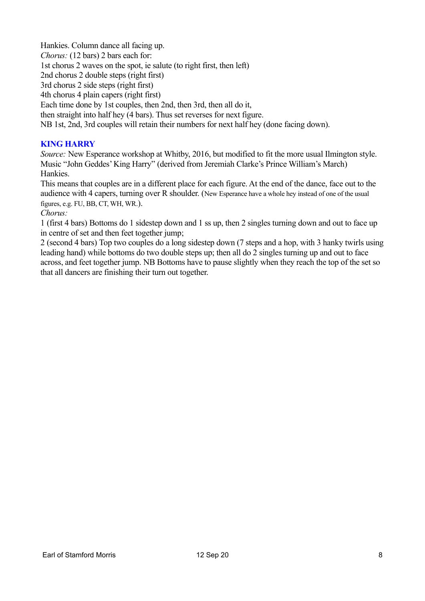Hankies. Column dance all facing up. *Chorus:* (12 bars) 2 bars each for: 1st chorus 2 waves on the spot, ie salute (to right first, then left) 2nd chorus 2 double steps (right first) 3rd chorus 2 side steps (right first) 4th chorus 4 plain capers (right first) Each time done by 1st couples, then 2nd, then 3rd, then all do it, then straight into half hey (4 bars). Thus set reverses for next figure. NB 1st, 2nd, 3rd couples will retain their numbers for next half hey (done facing down).

## **KING HARRY**

*Source:* New Esperance workshop at Whitby, 2016, but modified to fit the more usual Ilmington style. Music "John Geddes' King Harry" (derived from Jeremiah Clarke's Prince William's March) Hankies.

This means that couples are in a different place for each figure. At the end of the dance, face out to the audience with 4 capers, turning over R shoulder. (New Esperance have a whole hey instead of one of the usual figures, e.g. FU, BB, CT, WH, WR.).

### *Chorus:*

1 (first 4 bars) Bottoms do 1 sidestep down and 1 ss up, then 2 singles turning down and out to face up in centre of set and then feet together jump;

2 (second 4 bars) Top two couples do a long sidestep down (7 steps and a hop, with 3 hanky twirls using leading hand) while bottoms do two double steps up; then all do 2 singles turning up and out to face across, and feet together jump. NB Bottoms have to pause slightly when they reach the top of the set so that all dancers are finishing their turn out together.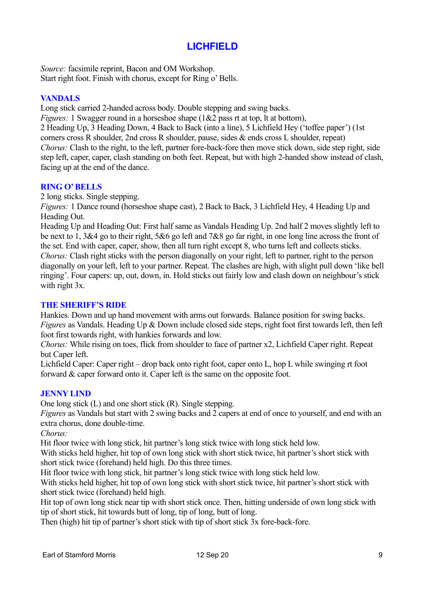# **LICHFIELD**

*Source:* facsimile reprint, Bacon and OM Workshop. Start right foot. Finish with chorus, except for Ring o' Bells.

### **VANDALS**

Long stick carried 2-handed across body. Double stepping and swing backs.

*Figures:* 1 Swagger round in a horseshoe shape (1&2 pass rt at top, lt at bottom), 2 Heading Up, 3 Heading Down, 4 Back to Back (into a line), 5 Lichfield Hey ('toffee paper') (1st corners cross R shoulder, 2nd cross R shoulder, pause, sides & ends cross L shoulder, repeat) *Chorus:* Clash to the right, to the left, partner fore-back-fore then move stick down, side step right, side step left, caper, caper, clash standing on both feet. Repeat, but with high 2-handed show instead of clash, facing up at the end of the dance.

## **RING O' BELLS**

2 long sticks. Single stepping.

*Figures:* 1 Dance round (horseshoe shape cast), 2 Back to Back, 3 Lichfield Hey, 4 Heading Up and Heading Out.

Heading Up and Heading Out: First half same as Vandals Heading Up. 2nd half 2 moves slightly left to be next to 1, 3&4 go to their right, 5&6 go left and 7&8 go far right, in one long line across the front of the set. End with caper, caper, show, then all turn right except 8, who turns left and collects sticks. *Chorus:* Clash right sticks with the person diagonally on your right, left to partner, right to the person diagonally on your left, left to your partner. Repeat. The clashes are high, with slight pull down 'like bell ringing'. Four capers: up, out, down, in. Hold sticks out fairly low and clash down on neighbour's stick with right 3x.

### **THE SHERIFF'S RIDE**

Hankies. Down and up hand movement with arms out forwards. Balance position for swing backs. *Figures* as Vandals. Heading Up & Down include closed side steps, right foot first towards left, then left foot first towards right, with hankies forwards and low.

*Chorus:* While rising on toes, flick from shoulder to face of partner x2, Lichfield Caper right. Repeat but Caper left.

Lichfield Caper: Caper right – drop back onto right foot, caper onto L, hop L while swinging rt foot forward & caper forward onto it. Caper left is the same on the opposite foot.

### **JENNY LIND**

One long stick (L) and one short stick (R). Single stepping.

*Figures* as Vandals but start with 2 swing backs and 2 capers at end of once to yourself, and end with an extra chorus, done double-time.

*Chorus:*

Hit floor twice with long stick, hit partner's long stick twice with long stick held low.

With sticks held higher, hit top of own long stick with short stick twice, hit partner's short stick with short stick twice (forehand) held high. Do this three times.

Hit floor twice with long stick, hit partner's long stick twice with long stick held low.

With sticks held higher, hit top of own long stick with short stick twice, hit partner's short stick with short stick twice (forehand) held high.

Hit top of own long stick near tip with short stick once. Then, hitting underside of own long stick with tip of short stick, hit towards butt of long, tip of long, butt of long.

Then (high) hit tip of partner's short stick with tip of short stick 3x fore-back-fore.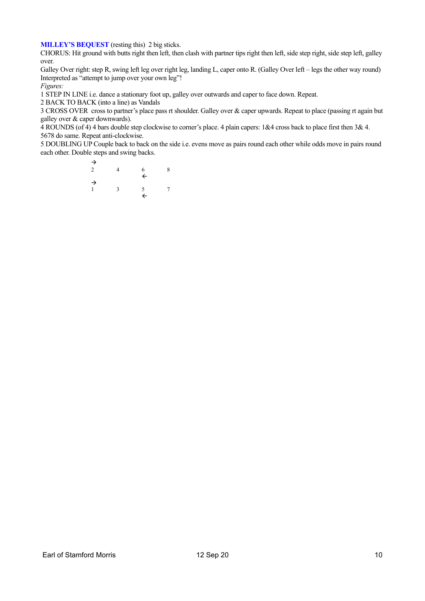**MILLEY'S BEQUEST** (resting this) 2 big sticks.

CHORUS: Hit ground with butts right then left, then clash with partner tips right then left, side step right, side step left, galley over.

Galley Over right: step R, swing left leg over right leg, landing L, caper onto R. (Galley Over left – legs the other way round) Interpreted as "attempt to jump over your own leg"!

*Figures:*

1 STEP IN LINE i.e. dance a stationary foot up, galley over outwards and caper to face down. Repeat.

2 BACK TO BACK (into a line) as Vandals

3 CROSS OVER cross to partner's place pass rt shoulder. Galley over & caper upwards. Repeat to place (passing rt again but galley over & caper downwards).

4 ROUNDS (of 4) 4 bars double step clockwise to corner's place. 4 plain capers: 1&4 cross back to place first then 3& 4. 5678 do same. Repeat anti-clockwise.

5 DOUBLING UP Couple back to back on the side i.e. evens move as pairs round each other while odds move in pairs round each other. Double steps and swing backs.

> $\rightarrow$ 2 4 6 8  $\leftarrow$ → 1 3 5 7  $\leftarrow$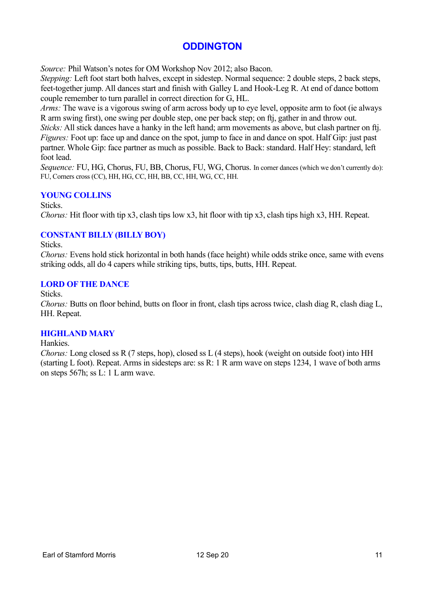# **ODDINGTON**

*Source:* Phil Watson's notes for OM Workshop Nov 2012; also Bacon.

*Stepping:* Left foot start both halves, except in sidestep. Normal sequence: 2 double steps, 2 back steps, feet-together jump. All dances start and finish with Galley L and Hook-Leg R. At end of dance bottom couple remember to turn parallel in correct direction for G, HL.

*Arms:* The wave is a vigorous swing of arm across body up to eye level, opposite arm to foot (ie always R arm swing first), one swing per double step, one per back step; on ftj, gather in and throw out.

*Sticks:* All stick dances have a hanky in the left hand; arm movements as above, but clash partner on ftj. *Figures:* Foot up: face up and dance on the spot, jump to face in and dance on spot. Half Gip: just past partner. Whole Gip: face partner as much as possible. Back to Back: standard. Half Hey: standard, left foot lead.

*Sequence:* FU, HG, Chorus, FU, BB, Chorus, FU, WG, Chorus. In corner dances (which we don't currently do): FU, Corners cross (CC), HH, HG, CC, HH, BB, CC, HH, WG, CC, HH.

## **YOUNG COLLINS**

Sticks.

*Chorus:* Hit floor with tip x3, clash tips low x3, hit floor with tip x3, clash tips high x3, HH. Repeat.

## **CONSTANT BILLY (BILLY BOY)**

Sticks.

*Chorus:* Evens hold stick horizontal in both hands (face height) while odds strike once, same with evens striking odds, all do 4 capers while striking tips, butts, tips, butts, HH. Repeat.

### **LORD OF THE DANCE**

Sticks.

*Chorus: Butts on floor behind, butts on floor in front, clash tips across twice, clash diag R, clash diag L,* HH. Repeat.

### **HIGHLAND MARY**

Hankies.

*Chorus:* Long closed ss R (7 steps, hop), closed ss L (4 steps), hook (weight on outside foot) into HH (starting L foot). Repeat. Arms in sidesteps are: ss R: 1 R arm wave on steps 1234, 1 wave of both arms on steps 567h; ss L: 1 L arm wave.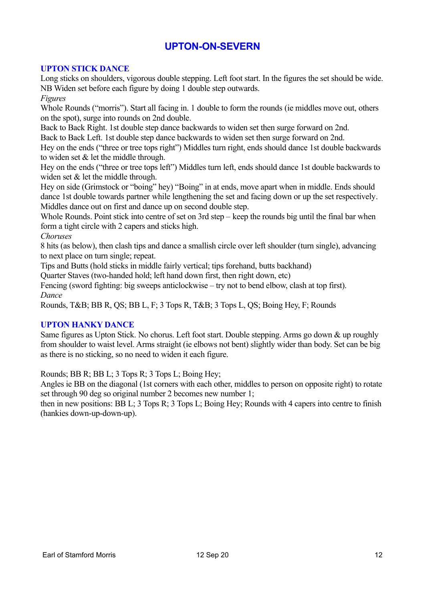# **UPTON-ON-SEVERN**

## **UPTON STICK DANCE**

Long sticks on shoulders, vigorous double stepping. Left foot start. In the figures the set should be wide. NB Widen set before each figure by doing 1 double step outwards.

*Figures*

Whole Rounds ("morris"). Start all facing in. 1 double to form the rounds (ie middles move out, others on the spot), surge into rounds on 2nd double.

Back to Back Right. 1st double step dance backwards to widen set then surge forward on 2nd.

Back to Back Left. 1st double step dance backwards to widen set then surge forward on 2nd.

Hey on the ends ("three or tree tops right") Middles turn right, ends should dance 1st double backwards to widen set & let the middle through.

Hey on the ends ("three or tree tops left") Middles turn left, ends should dance 1st double backwards to widen set & let the middle through.

Hey on side (Grimstock or "boing" hey) "Boing" in at ends, move apart when in middle. Ends should dance 1st double towards partner while lengthening the set and facing down or up the set respectively. Middles dance out on first and dance up on second double step.

Whole Rounds. Point stick into centre of set on 3rd step – keep the rounds big until the final bar when form a tight circle with 2 capers and sticks high.

*Choruses*

8 hits (as below), then clash tips and dance a smallish circle over left shoulder (turn single), advancing to next place on turn single; repeat.

Tips and Butts (hold sticks in middle fairly vertical; tips forehand, butts backhand)

Quarter Staves (two-handed hold; left hand down first, then right down, etc)

Fencing (sword fighting: big sweeps anticlockwise – try not to bend elbow, clash at top first). *Dance*

Rounds, T&B; BB R, QS; BB L, F; 3 Tops R, T&B; 3 Tops L, QS; Boing Hey, F; Rounds

## **UPTON HANKY DANCE**

Same figures as Upton Stick. No chorus. Left foot start. Double stepping. Arms go down & up roughly from shoulder to waist level. Arms straight (ie elbows not bent) slightly wider than body. Set can be big as there is no sticking, so no need to widen it each figure.

Rounds; BB R; BB L; 3 Tops R; 3 Tops L; Boing Hey;

Angles ie BB on the diagonal (1st corners with each other, middles to person on opposite right) to rotate set through 90 deg so original number 2 becomes new number 1;

then in new positions: BB L; 3 Tops R; 3 Tops L; Boing Hey; Rounds with 4 capers into centre to finish (hankies down-up-down-up).